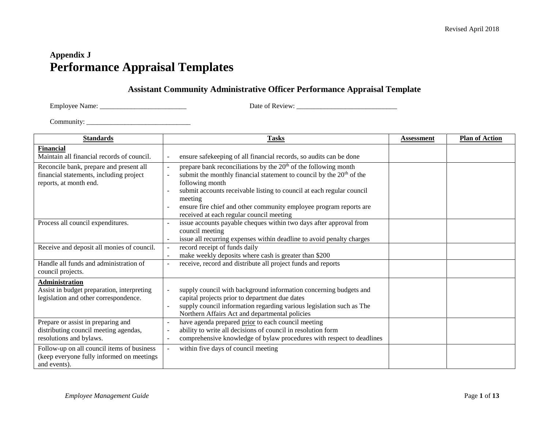# **Appendix J Performance Appraisal Templates**

## **Assistant Community Administrative Officer Performance Appraisal Template**

Employee Name: \_\_\_\_\_\_\_\_\_\_\_\_\_\_\_\_\_\_\_\_\_\_\_\_\_ Date of Review: \_\_\_\_\_\_\_\_\_\_\_\_\_\_\_\_\_\_\_\_\_\_\_\_\_\_\_\_\_

| <b>Standards</b>                                                                                             | <b>Tasks</b>                                                                                                                                                                                                                                                                                                                                                                   | <b>Assessment</b> | <b>Plan of Action</b> |
|--------------------------------------------------------------------------------------------------------------|--------------------------------------------------------------------------------------------------------------------------------------------------------------------------------------------------------------------------------------------------------------------------------------------------------------------------------------------------------------------------------|-------------------|-----------------------|
| <b>Financial</b><br>Maintain all financial records of council.                                               | ensure safekeeping of all financial records, so audits can be done                                                                                                                                                                                                                                                                                                             |                   |                       |
| Reconcile bank, prepare and present all<br>financial statements, including project<br>reports, at month end. | prepare bank reconciliations by the $20th$ of the following month<br>submit the monthly financial statement to council by the 20 <sup>th</sup> of the<br>following month<br>submit accounts receivable listing to council at each regular council<br>meeting<br>ensure fire chief and other community employee program reports are<br>received at each regular council meeting |                   |                       |
| Process all council expenditures.                                                                            | issue accounts payable cheques within two days after approval from<br>council meeting<br>issue all recurring expenses within deadline to avoid penalty charges                                                                                                                                                                                                                 |                   |                       |
| Receive and deposit all monies of council.                                                                   | record receipt of funds daily<br>make weekly deposits where cash is greater than \$200                                                                                                                                                                                                                                                                                         |                   |                       |
| Handle all funds and administration of<br>council projects.                                                  | receive, record and distribute all project funds and reports                                                                                                                                                                                                                                                                                                                   |                   |                       |
| <b>Administration</b><br>Assist in budget preparation, interpreting<br>legislation and other correspondence. | supply council with background information concerning budgets and<br>capital projects prior to department due dates<br>supply council information regarding various legislation such as The<br>Northern Affairs Act and departmental policies                                                                                                                                  |                   |                       |
| Prepare or assist in preparing and<br>distributing council meeting agendas,<br>resolutions and bylaws.       | have agenda prepared prior to each council meeting<br>ability to write all decisions of council in resolution form<br>comprehensive knowledge of bylaw procedures with respect to deadlines                                                                                                                                                                                    |                   |                       |
| Follow-up on all council items of business<br>(keep everyone fully informed on meetings<br>and events).      | within five days of council meeting                                                                                                                                                                                                                                                                                                                                            |                   |                       |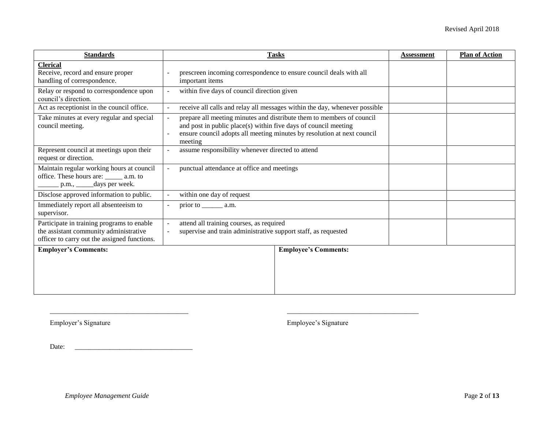| <b>Standards</b>                                                                                                                     | <b>Tasks</b>                                                                                                                                                                                                                   | <b>Assessment</b> | <b>Plan of Action</b> |
|--------------------------------------------------------------------------------------------------------------------------------------|--------------------------------------------------------------------------------------------------------------------------------------------------------------------------------------------------------------------------------|-------------------|-----------------------|
| <b>Clerical</b><br>Receive, record and ensure proper<br>handling of correspondence.                                                  | prescreen incoming correspondence to ensure council deals with all<br>important items                                                                                                                                          |                   |                       |
| Relay or respond to correspondence upon<br>council's direction.                                                                      | within five days of council direction given                                                                                                                                                                                    |                   |                       |
| Act as receptionist in the council office.                                                                                           | receive all calls and relay all messages within the day, whenever possible                                                                                                                                                     |                   |                       |
| Take minutes at every regular and special<br>council meeting.                                                                        | prepare all meeting minutes and distribute them to members of council<br>and post in public place(s) within five days of council meeting<br>ensure council adopts all meeting minutes by resolution at next council<br>meeting |                   |                       |
| Represent council at meetings upon their<br>request or direction.                                                                    | assume responsibility whenever directed to attend                                                                                                                                                                              |                   |                       |
| Maintain regular working hours at council<br>office. These hours are: ______ a.m. to<br>p.m., ______days per week.                   | punctual attendance at office and meetings                                                                                                                                                                                     |                   |                       |
| Disclose approved information to public.                                                                                             | within one day of request                                                                                                                                                                                                      |                   |                       |
| Immediately report all absenteeism to<br>supervisor.                                                                                 | prior to $\_\_\_\_\$ a.m.                                                                                                                                                                                                      |                   |                       |
| Participate in training programs to enable<br>the assistant community administrative<br>officer to carry out the assigned functions. | attend all training courses, as required<br>supervise and train administrative support staff, as requested                                                                                                                     |                   |                       |
| <b>Employer's Comments:</b>                                                                                                          | <b>Employee's Comments:</b>                                                                                                                                                                                                    |                   |                       |
|                                                                                                                                      |                                                                                                                                                                                                                                |                   |                       |

 $\_$ 

Employer's Signature Employee's Signature

Date: \_\_\_\_\_\_\_\_\_\_\_\_\_\_\_\_\_\_\_\_\_\_\_\_\_\_\_\_\_\_\_\_\_\_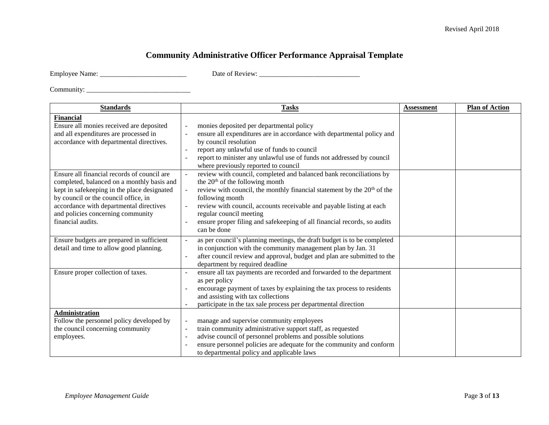## **Community Administrative Officer Performance Appraisal Template**

Employee Name: \_\_\_\_\_\_\_\_\_\_\_\_\_\_\_\_\_\_\_\_\_\_\_\_\_ Date of Review: \_\_\_\_\_\_\_\_\_\_\_\_\_\_\_\_\_\_\_\_\_\_\_\_\_\_\_\_\_

| <b>Standards</b>                                                                                                                                                                                                                                                                      | <b>Tasks</b>                                                                                                                                                                                                                                                                                                                                                                                                     | <b>Assessment</b> | <b>Plan of Action</b> |
|---------------------------------------------------------------------------------------------------------------------------------------------------------------------------------------------------------------------------------------------------------------------------------------|------------------------------------------------------------------------------------------------------------------------------------------------------------------------------------------------------------------------------------------------------------------------------------------------------------------------------------------------------------------------------------------------------------------|-------------------|-----------------------|
| <b>Financial</b><br>Ensure all monies received are deposited<br>and all expenditures are processed in<br>accordance with departmental directives.                                                                                                                                     | monies deposited per departmental policy<br>ensure all expenditures are in accordance with departmental policy and<br>by council resolution<br>report any unlawful use of funds to council<br>report to minister any unlawful use of funds not addressed by council<br>where previously reported to council                                                                                                      |                   |                       |
| Ensure all financial records of council are<br>completed, balanced on a monthly basis and<br>kept in safekeeping in the place designated<br>by council or the council office, in<br>accordance with departmental directives<br>and policies concerning community<br>financial audits. | review with council, completed and balanced bank reconciliations by<br>the $20th$ of the following month<br>review with council, the monthly financial statement by the 20 <sup>th</sup> of the<br>following month<br>review with council, accounts receivable and payable listing at each<br>regular council meeting<br>ensure proper filing and safekeeping of all financial records, so audits<br>can be done |                   |                       |
| Ensure budgets are prepared in sufficient<br>detail and time to allow good planning.                                                                                                                                                                                                  | as per council's planning meetings, the draft budget is to be completed<br>in conjunction with the community management plan by Jan. 31<br>after council review and approval, budget and plan are submitted to the<br>department by required deadline                                                                                                                                                            |                   |                       |
| Ensure proper collection of taxes.                                                                                                                                                                                                                                                    | ensure all tax payments are recorded and forwarded to the department<br>as per policy<br>encourage payment of taxes by explaining the tax process to residents<br>and assisting with tax collections<br>participate in the tax sale process per departmental direction                                                                                                                                           |                   |                       |
| <b>Administration</b><br>Follow the personnel policy developed by<br>the council concerning community<br>employees.                                                                                                                                                                   | manage and supervise community employees<br>train community administrative support staff, as requested<br>advise council of personnel problems and possible solutions<br>ensure personnel policies are adequate for the community and conform<br>to departmental policy and applicable laws                                                                                                                      |                   |                       |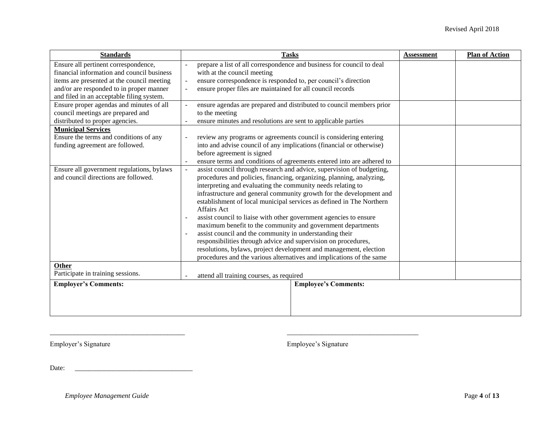| <b>Standards</b>                                                                                                                                                                                                                                                                                                                                                                                                                                                                                                                             | <b>Tasks</b>                                                                                                                                                                                                                                                                                                                                                                                                                                                                                                                                                                                                                                                                                                                                                                                                                                                                                                                                                                                                       | <b>Assessment</b> | <b>Plan of Action</b> |
|----------------------------------------------------------------------------------------------------------------------------------------------------------------------------------------------------------------------------------------------------------------------------------------------------------------------------------------------------------------------------------------------------------------------------------------------------------------------------------------------------------------------------------------------|--------------------------------------------------------------------------------------------------------------------------------------------------------------------------------------------------------------------------------------------------------------------------------------------------------------------------------------------------------------------------------------------------------------------------------------------------------------------------------------------------------------------------------------------------------------------------------------------------------------------------------------------------------------------------------------------------------------------------------------------------------------------------------------------------------------------------------------------------------------------------------------------------------------------------------------------------------------------------------------------------------------------|-------------------|-----------------------|
| Ensure all pertinent correspondence,<br>financial information and council business<br>items are presented at the council meeting<br>and/or are responded to in proper manner<br>and filed in an acceptable filing system.<br>Ensure proper agendas and minutes of all<br>council meetings are prepared and<br>distributed to proper agencies.<br><b>Municipal Services</b><br>Ensure the terms and conditions of any<br>funding agreement are followed.<br>Ensure all government regulations, bylaws<br>and council directions are followed. | prepare a list of all correspondence and business for council to deal<br>with at the council meeting<br>ensure correspondence is responded to, per council's direction<br>ensure proper files are maintained for all council records<br>ensure agendas are prepared and distributed to council members prior<br>to the meeting<br>ensure minutes and resolutions are sent to applicable parties<br>review any programs or agreements council is considering entering<br>into and advise council of any implications (financial or otherwise)<br>before agreement is signed<br>ensure terms and conditions of agreements entered into are adhered to<br>assist council through research and advice, supervision of budgeting,<br>procedures and policies, financing, organizing, planning, analyzing,<br>interpreting and evaluating the community needs relating to<br>infrastructure and general community growth for the development and<br>establishment of local municipal services as defined in The Northern |                   |                       |
|                                                                                                                                                                                                                                                                                                                                                                                                                                                                                                                                              | <b>Affairs Act</b><br>assist council to liaise with other government agencies to ensure<br>$\sim$<br>maximum benefit to the community and government departments<br>assist council and the community in understanding their<br>responsibilities through advice and supervision on procedures,<br>resolutions, bylaws, project development and management, election<br>procedures and the various alternatives and implications of the same                                                                                                                                                                                                                                                                                                                                                                                                                                                                                                                                                                         |                   |                       |
| <b>Other</b><br>Participate in training sessions.                                                                                                                                                                                                                                                                                                                                                                                                                                                                                            | attend all training courses, as required                                                                                                                                                                                                                                                                                                                                                                                                                                                                                                                                                                                                                                                                                                                                                                                                                                                                                                                                                                           |                   |                       |
| <b>Employer's Comments:</b>                                                                                                                                                                                                                                                                                                                                                                                                                                                                                                                  | <b>Employee's Comments:</b>                                                                                                                                                                                                                                                                                                                                                                                                                                                                                                                                                                                                                                                                                                                                                                                                                                                                                                                                                                                        |                   |                       |
|                                                                                                                                                                                                                                                                                                                                                                                                                                                                                                                                              |                                                                                                                                                                                                                                                                                                                                                                                                                                                                                                                                                                                                                                                                                                                                                                                                                                                                                                                                                                                                                    |                   |                       |

\_\_\_\_\_\_\_\_\_\_\_\_\_\_\_\_\_\_\_\_\_\_\_\_\_\_\_\_\_\_\_\_\_\_\_\_\_\_\_ \_\_\_\_\_\_\_\_\_\_\_\_\_\_\_\_\_\_\_\_\_\_\_\_\_\_\_\_\_\_\_\_\_\_\_\_\_\_

Employer's Signature Employee's Signature

Date: \_\_\_\_\_\_\_\_\_\_\_\_\_\_\_\_\_\_\_\_\_\_\_\_\_\_\_\_\_\_\_\_\_\_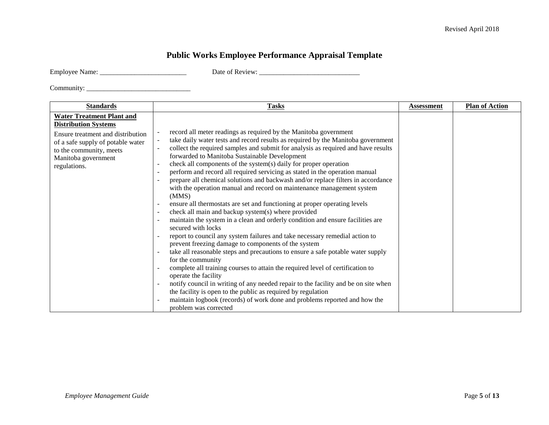## **Public Works Employee Performance Appraisal Template**

|  | <b>Employee Name:</b> |
|--|-----------------------|
|  |                       |

Employee Name: \_\_\_\_\_\_\_\_\_\_\_\_\_\_\_\_\_\_\_\_\_\_\_\_\_ Date of Review: \_\_\_\_\_\_\_\_\_\_\_\_\_\_\_\_\_\_\_\_\_\_\_\_\_\_\_\_\_

| <b>Standards</b>                                                                                                                                                                                            | <b>Tasks</b>                                                                                                                                                                                                                                                                                                                                                                                                                                                                                                                                                                                                                                                                                                                                                                                                                                                                                                                                                                                                                                                                                                                                                                                                                                                                                                                                                                                                                                                                                                   | Assessment | <b>Plan of Action</b> |
|-------------------------------------------------------------------------------------------------------------------------------------------------------------------------------------------------------------|----------------------------------------------------------------------------------------------------------------------------------------------------------------------------------------------------------------------------------------------------------------------------------------------------------------------------------------------------------------------------------------------------------------------------------------------------------------------------------------------------------------------------------------------------------------------------------------------------------------------------------------------------------------------------------------------------------------------------------------------------------------------------------------------------------------------------------------------------------------------------------------------------------------------------------------------------------------------------------------------------------------------------------------------------------------------------------------------------------------------------------------------------------------------------------------------------------------------------------------------------------------------------------------------------------------------------------------------------------------------------------------------------------------------------------------------------------------------------------------------------------------|------------|-----------------------|
| <b>Water Treatment Plant and</b><br><b>Distribution Systems</b><br>Ensure treatment and distribution<br>of a safe supply of potable water<br>to the community, meets<br>Manitoba government<br>regulations. | record all meter readings as required by the Manitoba government<br>take daily water tests and record results as required by the Manitoba government<br>collect the required samples and submit for analysis as required and have results<br>forwarded to Manitoba Sustainable Development<br>check all components of the system(s) daily for proper operation<br>perform and record all required servicing as stated in the operation manual<br>prepare all chemical solutions and backwash and/or replace filters in accordance<br>with the operation manual and record on maintenance management system<br>(MMS)<br>ensure all thermostats are set and functioning at proper operating levels<br>check all main and backup system(s) where provided<br>$\overline{\phantom{a}}$<br>maintain the system in a clean and orderly condition and ensure facilities are<br>secured with locks<br>report to council any system failures and take necessary remedial action to<br>prevent freezing damage to components of the system<br>take all reasonable steps and precautions to ensure a safe potable water supply<br>for the community<br>complete all training courses to attain the required level of certification to<br>operate the facility<br>notify council in writing of any needed repair to the facility and be on site when<br>the facility is open to the public as required by regulation<br>maintain logbook (records) of work done and problems reported and how the<br>problem was corrected |            |                       |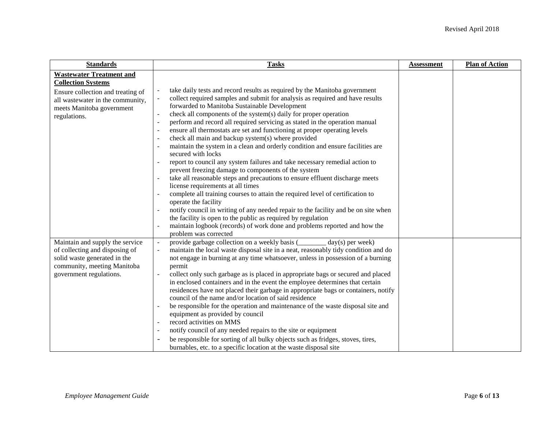| <b>Standards</b>                                                                                                                                                                   | <b>Tasks</b>                                                                                                                                                                                                                                                                                                                                                                                                                                                                                                                                                                                                                                                                                                                                                                                                                                                                                                                                                                                                                                                                                                                                                                                                                                          | <b>Assessment</b> | <b>Plan of Action</b> |
|------------------------------------------------------------------------------------------------------------------------------------------------------------------------------------|-------------------------------------------------------------------------------------------------------------------------------------------------------------------------------------------------------------------------------------------------------------------------------------------------------------------------------------------------------------------------------------------------------------------------------------------------------------------------------------------------------------------------------------------------------------------------------------------------------------------------------------------------------------------------------------------------------------------------------------------------------------------------------------------------------------------------------------------------------------------------------------------------------------------------------------------------------------------------------------------------------------------------------------------------------------------------------------------------------------------------------------------------------------------------------------------------------------------------------------------------------|-------------------|-----------------------|
| <b>Wastewater Treatment and</b><br><b>Collection Systems</b><br>Ensure collection and treating of<br>all wastewater in the community,<br>meets Manitoba government<br>regulations. | take daily tests and record results as required by the Manitoba government<br>collect required samples and submit for analysis as required and have results<br>forwarded to Manitoba Sustainable Development<br>check all components of the system(s) daily for proper operation<br>perform and record all required servicing as stated in the operation manual<br>$\sim$<br>ensure all thermostats are set and functioning at proper operating levels<br>check all main and backup system(s) where provided<br>maintain the system in a clean and orderly condition and ensure facilities are<br>secured with locks<br>report to council any system failures and take necessary remedial action to<br>prevent freezing damage to components of the system<br>take all reasonable steps and precautions to ensure effluent discharge meets<br>license requirements at all times<br>complete all training courses to attain the required level of certification to<br>operate the facility<br>notify council in writing of any needed repair to the facility and be on site when<br>the facility is open to the public as required by regulation<br>maintain logbook (records) of work done and problems reported and how the<br>problem was corrected |                   |                       |
| Maintain and supply the service<br>of collecting and disposing of<br>solid waste generated in the<br>community, meeting Manitoba<br>government regulations.                        | provide garbage collection on a weekly basis (<br>$day(s)$ per week)<br>maintain the local waste disposal site in a neat, reasonably tidy condition and do<br>not engage in burning at any time whatsoever, unless in possession of a burning<br>permit<br>collect only such garbage as is placed in appropriate bags or secured and placed<br>in enclosed containers and in the event the employee determines that certain<br>residences have not placed their garbage in appropriate bags or containers, notify<br>council of the name and/or location of said residence<br>be responsible for the operation and maintenance of the waste disposal site and<br>equipment as provided by council<br>record activities on MMS<br>notify council of any needed repairs to the site or equipment<br>$\overline{\phantom{a}}$<br>be responsible for sorting of all bulky objects such as fridges, stoves, tires,<br>burnables, etc. to a specific location at the waste disposal site                                                                                                                                                                                                                                                                    |                   |                       |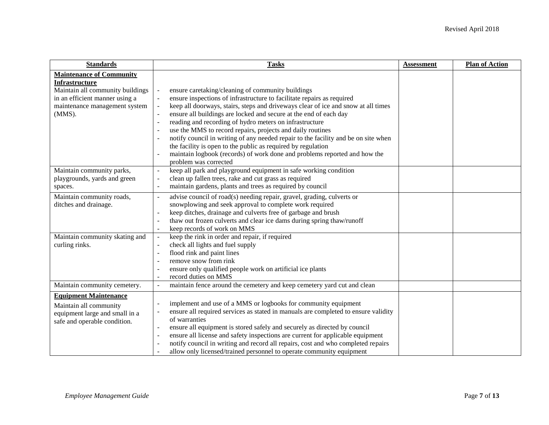| <b>Standards</b>                                                                                                                                                             | <b>Tasks</b>                                                                                                                                                                                                                                                                                                                                                                                                                                                                                                                                                                                                                                                                                                   | <b>Assessment</b> | <b>Plan of Action</b> |
|------------------------------------------------------------------------------------------------------------------------------------------------------------------------------|----------------------------------------------------------------------------------------------------------------------------------------------------------------------------------------------------------------------------------------------------------------------------------------------------------------------------------------------------------------------------------------------------------------------------------------------------------------------------------------------------------------------------------------------------------------------------------------------------------------------------------------------------------------------------------------------------------------|-------------------|-----------------------|
| <b>Maintenance of Community</b><br><b>Infrastructure</b><br>Maintain all community buildings<br>in an efficient manner using a<br>maintenance management system<br>$(MMS)$ . | ensure caretaking/cleaning of community buildings<br>ensure inspections of infrastructure to facilitate repairs as required<br>keep all doorways, stairs, steps and driveways clear of ice and snow at all times<br>ensure all buildings are locked and secure at the end of each day<br>reading and recording of hydro meters on infrastructure<br>$\blacksquare$<br>use the MMS to record repairs, projects and daily routines<br>notify council in writing of any needed repair to the facility and be on site when<br>$\blacksquare$<br>the facility is open to the public as required by regulation<br>maintain logbook (records) of work done and problems reported and how the<br>problem was corrected |                   |                       |
| Maintain community parks,<br>playgrounds, yards and green<br>spaces.                                                                                                         | keep all park and playground equipment in safe working condition<br>$\blacksquare$<br>clean up fallen trees, rake and cut grass as required<br>$\overline{\phantom{a}}$<br>maintain gardens, plants and trees as required by council<br>$\overline{\phantom{a}}$                                                                                                                                                                                                                                                                                                                                                                                                                                               |                   |                       |
| Maintain community roads,<br>ditches and drainage.                                                                                                                           | advise council of road(s) needing repair, gravel, grading, culverts or<br>÷,<br>snowplowing and seek approval to complete work required<br>keep ditches, drainage and culverts free of garbage and brush<br>thaw out frozen culverts and clear ice dams during spring thaw/runoff<br>keep records of work on MMS<br>$\blacksquare$                                                                                                                                                                                                                                                                                                                                                                             |                   |                       |
| Maintain community skating and<br>curling rinks.                                                                                                                             | keep the rink in order and repair, if required<br>$\blacksquare$<br>check all lights and fuel supply<br>flood rink and paint lines<br>$\overline{a}$<br>remove snow from rink<br>ensure only qualified people work on artificial ice plants<br>$\overline{\phantom{a}}$<br>record duties on MMS<br>$\overline{a}$                                                                                                                                                                                                                                                                                                                                                                                              |                   |                       |
| Maintain community cemetery.                                                                                                                                                 | maintain fence around the cemetery and keep cemetery yard cut and clean<br>$\ddot{\phantom{1}}$                                                                                                                                                                                                                                                                                                                                                                                                                                                                                                                                                                                                                |                   |                       |
| <b>Equipment Maintenance</b><br>Maintain all community<br>equipment large and small in a<br>safe and operable condition.                                                     | implement and use of a MMS or logbooks for community equipment<br>ensure all required services as stated in manuals are completed to ensure validity<br>of warranties<br>ensure all equipment is stored safely and securely as directed by council<br>ensure all license and safety inspections are current for applicable equipment<br>notify council in writing and record all repairs, cost and who completed repairs<br>allow only licensed/trained personnel to operate community equipment                                                                                                                                                                                                               |                   |                       |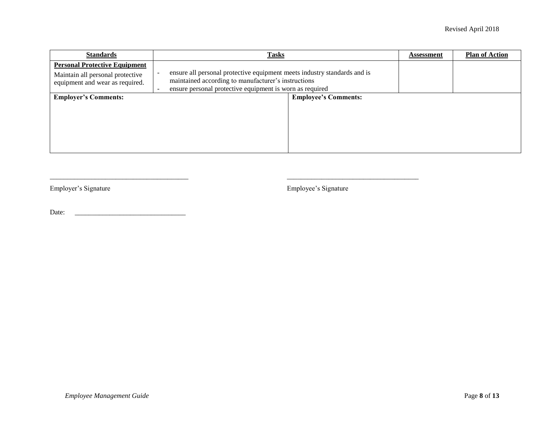| <b>Standards</b>                                                                                            | <b>Tasks</b>                                                                                                                                                                                | <b>Assessment</b> | <b>Plan of Action</b> |
|-------------------------------------------------------------------------------------------------------------|---------------------------------------------------------------------------------------------------------------------------------------------------------------------------------------------|-------------------|-----------------------|
| <b>Personal Protective Equipment</b><br>Maintain all personal protective<br>equipment and wear as required. | ensure all personal protective equipment meets industry standards and is<br>maintained according to manufacturer's instructions<br>ensure personal protective equipment is worn as required |                   |                       |
| <b>Employer's Comments:</b>                                                                                 | <b>Employee's Comments:</b>                                                                                                                                                                 |                   |                       |

 $\frac{1}{2}$  ,  $\frac{1}{2}$  ,  $\frac{1}{2}$  ,  $\frac{1}{2}$  ,  $\frac{1}{2}$  ,  $\frac{1}{2}$  ,  $\frac{1}{2}$  ,  $\frac{1}{2}$  ,  $\frac{1}{2}$  ,  $\frac{1}{2}$  ,  $\frac{1}{2}$  ,  $\frac{1}{2}$  ,  $\frac{1}{2}$  ,  $\frac{1}{2}$  ,  $\frac{1}{2}$  ,  $\frac{1}{2}$  ,  $\frac{1}{2}$  ,  $\frac{1}{2}$  ,  $\frac{1$ 

Employer's Signature Employee's Signature

Date: \_\_\_\_\_\_\_\_\_\_\_\_\_\_\_\_\_\_\_\_\_\_\_\_\_\_\_\_\_\_\_\_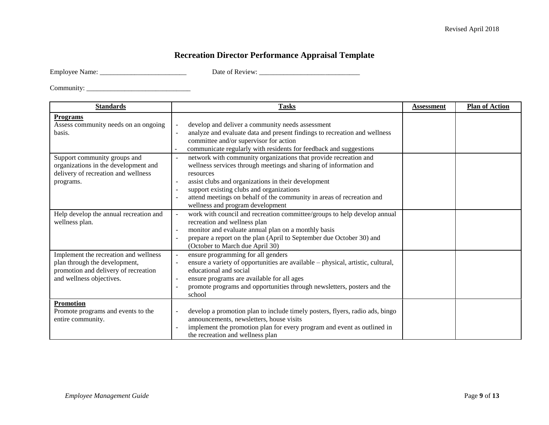## **Recreation Director Performance Appraisal Template**

| <b>Employee Name:</b> |  |
|-----------------------|--|
|-----------------------|--|

Employee Name: \_\_\_\_\_\_\_\_\_\_\_\_\_\_\_\_\_\_\_\_\_\_\_\_\_ Date of Review: \_\_\_\_\_\_\_\_\_\_\_\_\_\_\_\_\_\_\_\_\_\_\_\_\_\_\_\_\_

| <b>Standards</b>                                                                                                                           | <b>Tasks</b>                                                                                                                                                                                                                                                                                                                                                                                                | <b>Assessment</b> | <b>Plan of Action</b> |
|--------------------------------------------------------------------------------------------------------------------------------------------|-------------------------------------------------------------------------------------------------------------------------------------------------------------------------------------------------------------------------------------------------------------------------------------------------------------------------------------------------------------------------------------------------------------|-------------------|-----------------------|
| <b>Programs</b><br>Assess community needs on an ongoing<br>basis.                                                                          | develop and deliver a community needs assessment<br>$\equiv$<br>analyze and evaluate data and present findings to recreation and wellness<br>$\blacksquare$<br>committee and/or supervisor for action<br>communicate regularly with residents for feedback and suggestions                                                                                                                                  |                   |                       |
| Support community groups and<br>organizations in the development and<br>delivery of recreation and wellness<br>programs.                   | network with community organizations that provide recreation and<br>$\blacksquare$<br>wellness services through meetings and sharing of information and<br>resources<br>assist clubs and organizations in their development<br>$\blacksquare$<br>support existing clubs and organizations<br>attend meetings on behalf of the community in areas of recreation and<br>٠<br>wellness and program development |                   |                       |
| Help develop the annual recreation and<br>wellness plan.                                                                                   | work with council and recreation committee/groups to help develop annual<br>$\equiv$<br>recreation and wellness plan<br>monitor and evaluate annual plan on a monthly basis<br>$\blacksquare$<br>prepare a report on the plan (April to September due October 30) and<br>(October to March due April 30)                                                                                                    |                   |                       |
| Implement the recreation and wellness<br>plan through the development,<br>promotion and delivery of recreation<br>and wellness objectives. | ensure programming for all genders<br>$\blacksquare$<br>ensure a variety of opportunities are available - physical, artistic, cultural,<br>$\overline{\phantom{a}}$<br>educational and social<br>ensure programs are available for all ages<br>$\blacksquare$<br>promote programs and opportunities through newsletters, posters and the<br>school                                                          |                   |                       |
| <b>Promotion</b><br>Promote programs and events to the<br>entire community.                                                                | develop a promotion plan to include timely posters, flyers, radio ads, bingo<br>announcements, newsletters, house visits<br>implement the promotion plan for every program and event as outlined in<br>$\overline{a}$<br>the recreation and wellness plan                                                                                                                                                   |                   |                       |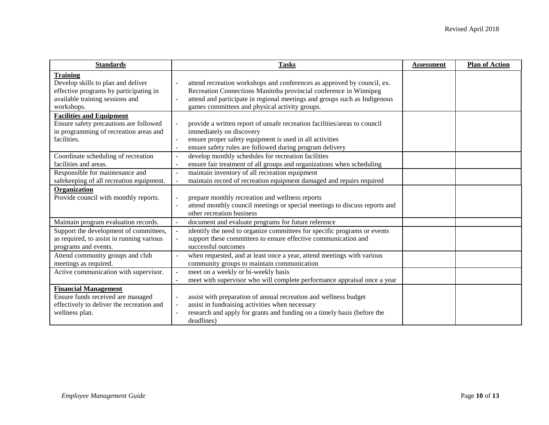| <b>Standards</b>                                      | <b>Tasks</b>                                                                                | <b>Assessment</b> | <b>Plan of Action</b> |
|-------------------------------------------------------|---------------------------------------------------------------------------------------------|-------------------|-----------------------|
| <b>Training</b><br>Develop skills to plan and deliver | attend recreation workshops and conferences as approved by council, ex.                     |                   |                       |
| effective programs by participating in                | Recreation Connections Manitoba provincial conference in Winnipeg                           |                   |                       |
| available training sessions and                       | attend and participate in regional meetings and groups such as Indigenous<br>$\overline{a}$ |                   |                       |
| workshops.                                            | games committees and physical activity groups.                                              |                   |                       |
| <b>Facilities and Equipment</b>                       |                                                                                             |                   |                       |
| Ensure safety precautions are followed                | provide a written report of unsafe recreation facilities/areas to council<br>$\sim$         |                   |                       |
| in programming of recreation areas and                | immediately on discovery                                                                    |                   |                       |
| facilities.                                           | ensure proper safety equipment is used in all activities<br>$\overline{\phantom{a}}$        |                   |                       |
|                                                       | ensure safety rules are followed during program delivery<br>$\blacksquare$                  |                   |                       |
| Coordinate scheduling of recreation                   | develop monthly schedules for recreation facilities<br>$\blacksquare$                       |                   |                       |
| facilities and areas.                                 | ensure fair treatment of all groups and organizations when scheduling                       |                   |                       |
| Responsible for maintenance and                       | maintain inventory of all recreation equipment<br>$\overline{a}$                            |                   |                       |
| safekeeping of all recreation equipment.              | maintain record of recreation equipment damaged and repairs required<br>$\blacksquare$      |                   |                       |
| Organization                                          |                                                                                             |                   |                       |
| Provide council with monthly reports.                 | prepare monthly recreation and wellness reports<br>$\sim$                                   |                   |                       |
|                                                       | attend monthly council meetings or special meetings to discuss reports and                  |                   |                       |
|                                                       | other recreation business                                                                   |                   |                       |
| Maintain program evaluation records.                  | document and evaluate programs for future reference<br>$\blacksquare$                       |                   |                       |
| Support the development of committees,                | identify the need to organize committees for specific programs or events<br>$\blacksquare$  |                   |                       |
| as required, to assist in running various             | support these committees to ensure effective communication and<br>$\blacksquare$            |                   |                       |
| programs and events.                                  | successful outcomes                                                                         |                   |                       |
| Attend community groups and club                      | when requested, and at least once a year, attend meetings with various<br>$\blacksquare$    |                   |                       |
| meetings as required.                                 | community groups to maintain communication                                                  |                   |                       |
| Active communication with supervisor.                 | meet on a weekly or bi-weekly basis<br>$\equiv$                                             |                   |                       |
|                                                       | meet with supervisor who will complete performance appraisal once a year                    |                   |                       |
| <b>Financial Management</b>                           |                                                                                             |                   |                       |
| Ensure funds received are managed                     | assist with preparation of annual recreation and wellness budget<br>$\blacksquare$          |                   |                       |
| effectively to deliver the recreation and             | assist in fundraising activities when necessary<br>$\blacksquare$                           |                   |                       |
| wellness plan.                                        | research and apply for grants and funding on a timely basis (before the                     |                   |                       |
|                                                       | deadlines)                                                                                  |                   |                       |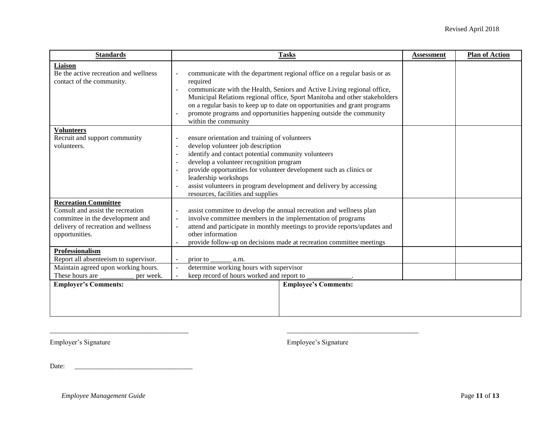| <b>Standards</b>                                                                                                                                              | <b>Tasks</b>                                                                                                                                                                                                                                                                                                                                                                                                                                                     | <b>Assessment</b> | <b>Plan of Action</b> |
|---------------------------------------------------------------------------------------------------------------------------------------------------------------|------------------------------------------------------------------------------------------------------------------------------------------------------------------------------------------------------------------------------------------------------------------------------------------------------------------------------------------------------------------------------------------------------------------------------------------------------------------|-------------------|-----------------------|
| Liaison<br>Be the active recreation and wellness<br>contact of the community.                                                                                 | communicate with the department regional office on a regular basis or as<br>required<br>communicate with the Health, Seniors and Active Living regional office,<br>$\blacksquare$<br>Municipal Relations regional office, Sport Manitoba and other stakeholders<br>on a regular basis to keep up to date on opportunities and grant programs<br>promote programs and opportunities happening outside the community<br>within the community                       |                   |                       |
| <b>Volunteers</b><br>Recruit and support community<br>volunteers.                                                                                             | ensure orientation and training of volunteers<br>$\overline{\phantom{a}}$<br>develop volunteer job description<br>$\overline{\phantom{a}}$<br>identify and contact potential community volunteers<br>develop a volunteer recognition program<br>$\sim$<br>provide opportunities for volunteer development such as clinics or<br>leadership workshops<br>assist volunteers in program development and delivery by accessing<br>resources, facilities and supplies |                   |                       |
| <b>Recreation Committee</b><br>Consult and assist the recreation<br>committee in the development and<br>delivery of recreation and wellness<br>opportunities. | assist committee to develop the annual recreation and wellness plan<br>$\sim$<br>involve committee members in the implementation of programs<br>$\blacksquare$<br>attend and participate in monthly meetings to provide reports/updates and<br>$\overline{\phantom{a}}$<br>other information<br>provide follow-up on decisions made at recreation committee meetings<br>$\overline{\phantom{a}}$                                                                 |                   |                       |
| Professionalism<br>Report all absenteeism to supervisor.                                                                                                      | prior to<br>a.m.<br>$\blacksquare$                                                                                                                                                                                                                                                                                                                                                                                                                               |                   |                       |
| Maintain agreed upon working hours.<br>These hours are<br>per week.                                                                                           | determine working hours with supervisor<br>keep record of hours worked and report to                                                                                                                                                                                                                                                                                                                                                                             |                   |                       |
| <b>Employer's Comments:</b>                                                                                                                                   | <b>Employee's Comments:</b>                                                                                                                                                                                                                                                                                                                                                                                                                                      |                   |                       |

\_\_\_\_\_\_\_\_\_\_\_\_\_\_\_\_\_\_\_\_\_\_\_\_\_\_\_\_\_\_\_\_\_\_\_\_\_\_\_\_ \_\_\_\_\_\_\_\_\_\_\_\_\_\_\_\_\_\_\_\_\_\_\_\_\_\_\_\_\_\_\_\_\_\_\_\_\_\_

Employer's Signature Employee's Signature

Date: \_\_\_\_\_\_\_\_\_\_\_\_\_\_\_\_\_\_\_\_\_\_\_\_\_\_\_\_\_\_\_\_\_\_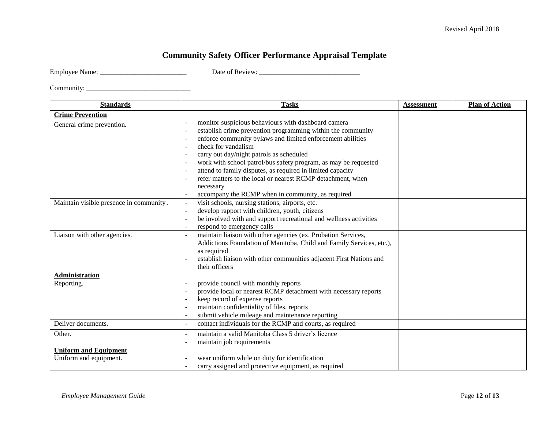## **Community Safety Officer Performance Appraisal Template**

|  | <b>Employee Name:</b> |
|--|-----------------------|
|  |                       |

Employee Name: \_\_\_\_\_\_\_\_\_\_\_\_\_\_\_\_\_\_\_\_\_\_\_\_\_ Date of Review: \_\_\_\_\_\_\_\_\_\_\_\_\_\_\_\_\_\_\_\_\_\_\_\_\_\_\_\_\_

| <b>Standards</b>                                       | <b>Tasks</b>                                                                                                                                                                                                                                                                                                                                                                                                                                                                                                                                                                                    | <b>Assessment</b> | <b>Plan of Action</b> |
|--------------------------------------------------------|-------------------------------------------------------------------------------------------------------------------------------------------------------------------------------------------------------------------------------------------------------------------------------------------------------------------------------------------------------------------------------------------------------------------------------------------------------------------------------------------------------------------------------------------------------------------------------------------------|-------------------|-----------------------|
| <b>Crime Prevention</b><br>General crime prevention.   | monitor suspicious behaviours with dashboard camera<br>$\ddot{\phantom{1}}$<br>establish crime prevention programming within the community<br>enforce community bylaws and limited enforcement abilities<br>$\sim$<br>check for vandalism<br>$\sim$<br>carry out day/night patrols as scheduled<br>$\sim$<br>work with school patrol/bus safety program, as may be requested<br>$\sim$<br>attend to family disputes, as required in limited capacity<br>refer matters to the local or nearest RCMP detachment, when<br>$\sim$<br>necessary<br>accompany the RCMP when in community, as required |                   |                       |
| Maintain visible presence in community.                | visit schools, nursing stations, airports, etc.<br>$\overline{\phantom{a}}$<br>develop rapport with children, youth, citizens<br>$\overline{\phantom{a}}$<br>be involved with and support recreational and wellness activities<br>$\overline{\phantom{a}}$<br>respond to emergency calls<br>$\sim$                                                                                                                                                                                                                                                                                              |                   |                       |
| Liaison with other agencies.                           | maintain liaison with other agencies (ex. Probation Services,<br>$\overline{a}$<br>Addictions Foundation of Manitoba, Child and Family Services, etc.),<br>as required<br>establish liaison with other communities adjacent First Nations and<br>$\sim$<br>their officers                                                                                                                                                                                                                                                                                                                       |                   |                       |
| Administration<br>Reporting.                           | provide council with monthly reports<br>provide local or nearest RCMP detachment with necessary reports<br>$\blacksquare$<br>keep record of expense reports<br>$\sim$<br>maintain confidentiality of files, reports<br>$\ddot{\phantom{1}}$<br>submit vehicle mileage and maintenance reporting                                                                                                                                                                                                                                                                                                 |                   |                       |
| Deliver documents.                                     | contact individuals for the RCMP and courts, as required                                                                                                                                                                                                                                                                                                                                                                                                                                                                                                                                        |                   |                       |
| Other.                                                 | maintain a valid Manitoba Class 5 driver's licence<br>$\blacksquare$<br>maintain job requirements                                                                                                                                                                                                                                                                                                                                                                                                                                                                                               |                   |                       |
| <b>Uniform and Equipment</b><br>Uniform and equipment. | wear uniform while on duty for identification<br>carry assigned and protective equipment, as required<br>$\blacksquare$                                                                                                                                                                                                                                                                                                                                                                                                                                                                         |                   |                       |